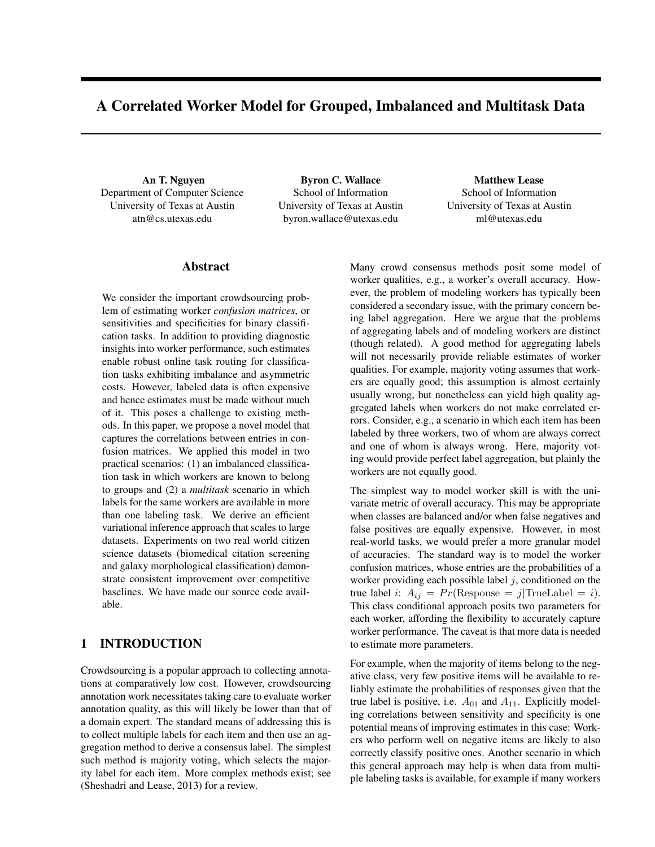# A Correlated Worker Model for Grouped, Imbalanced and Multitask Data

An T. Nguyen Department of Computer Science University of Texas at Austin atn@cs.utexas.edu

Byron C. Wallace School of Information University of Texas at Austin byron.wallace@utexas.edu

Matthew Lease School of Information University of Texas at Austin ml@utexas.edu

## Abstract

We consider the important crowdsourcing problem of estimating worker *confusion matrices*, or sensitivities and specificities for binary classification tasks. In addition to providing diagnostic insights into worker performance, such estimates enable robust online task routing for classification tasks exhibiting imbalance and asymmetric costs. However, labeled data is often expensive and hence estimates must be made without much of it. This poses a challenge to existing methods. In this paper, we propose a novel model that captures the correlations between entries in confusion matrices. We applied this model in two practical scenarios: (1) an imbalanced classification task in which workers are known to belong to groups and (2) a *multitask* scenario in which labels for the same workers are available in more than one labeling task. We derive an efficient variational inference approach that scales to large datasets. Experiments on two real world citizen science datasets (biomedical citation screening and galaxy morphological classification) demonstrate consistent improvement over competitive baselines. We have made our source code available.

## 1 INTRODUCTION

Crowdsourcing is a popular approach to collecting annotations at comparatively low cost. However, crowdsourcing annotation work necessitates taking care to evaluate worker annotation quality, as this will likely be lower than that of a domain expert. The standard means of addressing this is to collect multiple labels for each item and then use an aggregation method to derive a consensus label. The simplest such method is majority voting, which selects the majority label for each item. More complex methods exist; see (Sheshadri and Lease, 2013) for a review.

Many crowd consensus methods posit some model of worker qualities, e.g., a worker's overall accuracy. However, the problem of modeling workers has typically been considered a secondary issue, with the primary concern being label aggregation. Here we argue that the problems of aggregating labels and of modeling workers are distinct (though related). A good method for aggregating labels will not necessarily provide reliable estimates of worker qualities. For example, majority voting assumes that workers are equally good; this assumption is almost certainly usually wrong, but nonetheless can yield high quality aggregated labels when workers do not make correlated errors. Consider, e.g., a scenario in which each item has been labeled by three workers, two of whom are always correct and one of whom is always wrong. Here, majority voting would provide perfect label aggregation, but plainly the workers are not equally good.

The simplest way to model worker skill is with the univariate metric of overall accuracy. This may be appropriate when classes are balanced and/or when false negatives and false positives are equally expensive. However, in most real-world tasks, we would prefer a more granular model of accuracies. The standard way is to model the worker confusion matrices, whose entries are the probabilities of a worker providing each possible label  $j$ , conditioned on the true label *i*:  $A_{ij} = Pr(\text{Response} = j | \text{TrueLabel} = i).$ This class conditional approach posits two parameters for each worker, affording the flexibility to accurately capture worker performance. The caveat is that more data is needed to estimate more parameters.

For example, when the majority of items belong to the negative class, very few positive items will be available to reliably estimate the probabilities of responses given that the true label is positive, i.e.  $A_{01}$  and  $A_{11}$ . Explicitly modeling correlations between sensitivity and specificity is one potential means of improving estimates in this case: Workers who perform well on negative items are likely to also correctly classify positive ones. Another scenario in which this general approach may help is when data from multiple labeling tasks is available, for example if many workers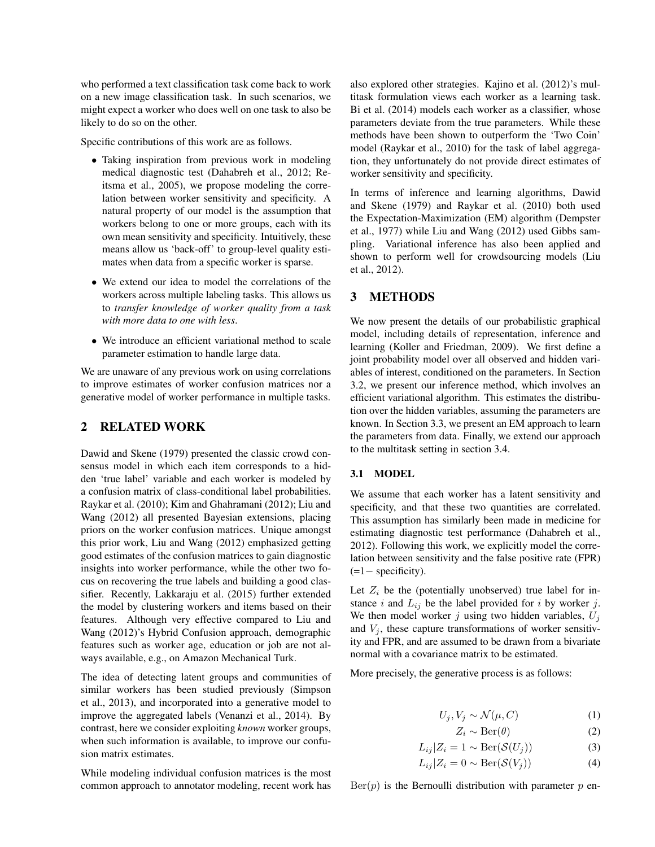who performed a text classification task come back to work on a new image classification task. In such scenarios, we might expect a worker who does well on one task to also be likely to do so on the other.

Specific contributions of this work are as follows.

- Taking inspiration from previous work in modeling medical diagnostic test (Dahabreh et al., 2012; Reitsma et al., 2005), we propose modeling the correlation between worker sensitivity and specificity. A natural property of our model is the assumption that workers belong to one or more groups, each with its own mean sensitivity and specificity. Intuitively, these means allow us 'back-off' to group-level quality estimates when data from a specific worker is sparse.
- We extend our idea to model the correlations of the workers across multiple labeling tasks. This allows us to *transfer knowledge of worker quality from a task with more data to one with less*.
- We introduce an efficient variational method to scale parameter estimation to handle large data.

We are unaware of any previous work on using correlations to improve estimates of worker confusion matrices nor a generative model of worker performance in multiple tasks.

## 2 RELATED WORK

Dawid and Skene (1979) presented the classic crowd consensus model in which each item corresponds to a hidden 'true label' variable and each worker is modeled by a confusion matrix of class-conditional label probabilities. Raykar et al. (2010); Kim and Ghahramani (2012); Liu and Wang (2012) all presented Bayesian extensions, placing priors on the worker confusion matrices. Unique amongst this prior work, Liu and Wang (2012) emphasized getting good estimates of the confusion matrices to gain diagnostic insights into worker performance, while the other two focus on recovering the true labels and building a good classifier. Recently, Lakkaraju et al. (2015) further extended the model by clustering workers and items based on their features. Although very effective compared to Liu and Wang (2012)'s Hybrid Confusion approach, demographic features such as worker age, education or job are not always available, e.g., on Amazon Mechanical Turk.

The idea of detecting latent groups and communities of similar workers has been studied previously (Simpson et al., 2013), and incorporated into a generative model to improve the aggregated labels (Venanzi et al., 2014). By contrast, here we consider exploiting *known* worker groups, when such information is available, to improve our confusion matrix estimates.

While modeling individual confusion matrices is the most common approach to annotator modeling, recent work has

also explored other strategies. Kajino et al. (2012)'s multitask formulation views each worker as a learning task. Bi et al. (2014) models each worker as a classifier, whose parameters deviate from the true parameters. While these methods have been shown to outperform the 'Two Coin' model (Raykar et al., 2010) for the task of label aggregation, they unfortunately do not provide direct estimates of worker sensitivity and specificity.

In terms of inference and learning algorithms, Dawid and Skene (1979) and Raykar et al. (2010) both used the Expectation-Maximization (EM) algorithm (Dempster et al., 1977) while Liu and Wang (2012) used Gibbs sampling. Variational inference has also been applied and shown to perform well for crowdsourcing models (Liu et al., 2012).

## 3 METHODS

We now present the details of our probabilistic graphical model, including details of representation, inference and learning (Koller and Friedman, 2009). We first define a joint probability model over all observed and hidden variables of interest, conditioned on the parameters. In Section 3.2, we present our inference method, which involves an efficient variational algorithm. This estimates the distribution over the hidden variables, assuming the parameters are known. In Section 3.3, we present an EM approach to learn the parameters from data. Finally, we extend our approach to the multitask setting in section 3.4.

#### 3.1 MODEL

We assume that each worker has a latent sensitivity and specificity, and that these two quantities are correlated. This assumption has similarly been made in medicine for estimating diagnostic test performance (Dahabreh et al., 2012). Following this work, we explicitly model the correlation between sensitivity and the false positive rate (FPR) (=1− specificity).

Let  $Z_i$  be the (potentially unobserved) true label for instance i and  $L_{ij}$  be the label provided for i by worker j. We then model worker j using two hidden variables,  $U_j$ and  $V_j$ , these capture transformations of worker sensitivity and FPR, and are assumed to be drawn from a bivariate normal with a covariance matrix to be estimated.

More precisely, the generative process is as follows:

$$
U_j, V_j \sim \mathcal{N}(\mu, C) \tag{1}
$$

$$
Z_i \sim \text{Ber}(\theta) \tag{2}
$$

$$
L_{ij}|Z_i = 1 \sim \text{Ber}(\mathcal{S}(U_j))
$$
\n(3)

$$
L_{ij}|Z_i = 0 \sim \text{Ber}(\mathcal{S}(V_j))
$$
\n(4)

 $Ber(p)$  is the Bernoulli distribution with parameter p en-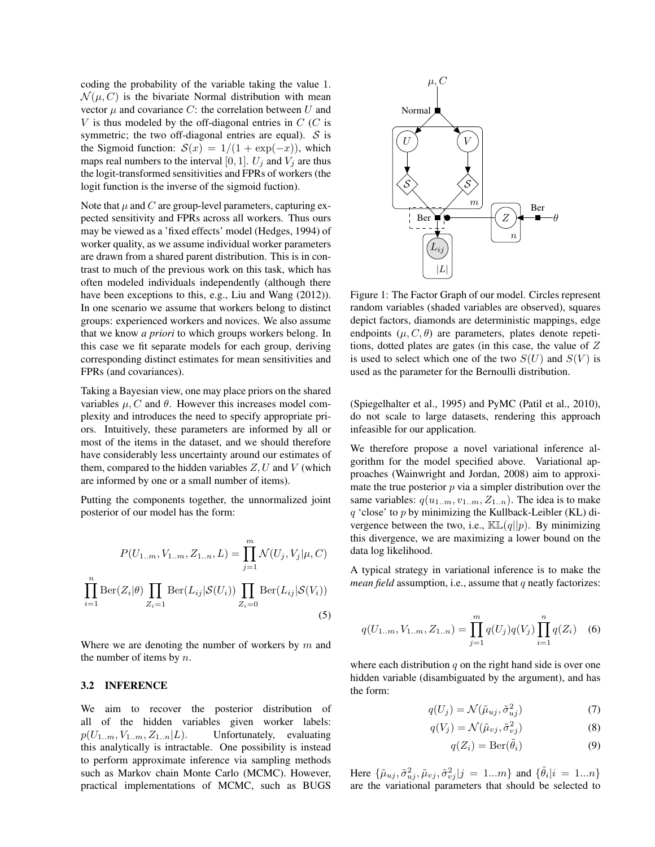coding the probability of the variable taking the value 1.  $\mathcal{N}(\mu, C)$  is the bivariate Normal distribution with mean vector  $\mu$  and covariance C: the correlation between U and  $V$  is thus modeled by the off-diagonal entries in  $C$  (C is symmetric; the two off-diagonal entries are equal).  $S$  is the Sigmoid function:  $S(x) = 1/(1 + \exp(-x))$ , which maps real numbers to the interval [0, 1].  $U_i$  and  $V_i$  are thus the logit-transformed sensitivities and FPRs of workers (the logit function is the inverse of the sigmoid fuction).

Note that  $\mu$  and C are group-level parameters, capturing expected sensitivity and FPRs across all workers. Thus ours may be viewed as a 'fixed effects' model (Hedges, 1994) of worker quality, as we assume individual worker parameters are drawn from a shared parent distribution. This is in contrast to much of the previous work on this task, which has often modeled individuals independently (although there have been exceptions to this, e.g., Liu and Wang (2012)). In one scenario we assume that workers belong to distinct groups: experienced workers and novices. We also assume that we know *a priori* to which groups workers belong. In this case we fit separate models for each group, deriving corresponding distinct estimates for mean sensitivities and FPRs (and covariances).

Taking a Bayesian view, one may place priors on the shared variables  $\mu$ , C and  $\theta$ . However this increases model complexity and introduces the need to specify appropriate priors. Intuitively, these parameters are informed by all or most of the items in the dataset, and we should therefore have considerably less uncertainty around our estimates of them, compared to the hidden variables  $Z, U$  and  $V$  (which are informed by one or a small number of items).

Putting the components together, the unnormalized joint posterior of our model has the form:

$$
P(U_{1..m}, V_{1..m}, Z_{1..n}, L) = \prod_{j=1}^{m} \mathcal{N}(U_j, V_j | \mu, C)
$$

$$
\prod_{i=1}^{n} \text{Ber}(Z_i | \theta) \prod_{Z_i=1} \text{Ber}(L_{ij} | \mathcal{S}(U_i)) \prod_{Z_i=0} \text{Ber}(L_{ij} | \mathcal{S}(V_i))
$$
(5)

Where we are denoting the number of workers by  $m$  and the number of items by  $n$ .

#### 3.2 INFERENCE

We aim to recover the posterior distribution of all of the hidden variables given worker labels:  $p(U_{1..m}, V_{1..m}, Z_{1..n}|L)$ . Unfortunately, evaluating this analytically is intractable. One possibility is instead to perform approximate inference via sampling methods such as Markov chain Monte Carlo (MCMC). However, practical implementations of MCMC, such as BUGS



Figure 1: The Factor Graph of our model. Circles represent random variables (shaded variables are observed), squares depict factors, diamonds are deterministic mappings, edge endpoints  $(\mu, C, \theta)$  are parameters, plates denote repetitions, dotted plates are gates (in this case, the value of  $Z$ is used to select which one of the two  $S(U)$  and  $S(V)$  is used as the parameter for the Bernoulli distribution.

(Spiegelhalter et al., 1995) and PyMC (Patil et al., 2010), do not scale to large datasets, rendering this approach infeasible for our application.

We therefore propose a novel variational inference algorithm for the model specified above. Variational approaches (Wainwright and Jordan, 2008) aim to approximate the true posterior  $p$  via a simpler distribution over the same variables:  $q(u_{1..m}, v_{1..m}, Z_{1..n})$ . The idea is to make  $q$  'close' to  $p$  by minimizing the Kullback-Leibler (KL) divergence between the two, i.e.,  $\mathbb{KL}(q||p)$ . By minimizing this divergence, we are maximizing a lower bound on the data log likelihood.

A typical strategy in variational inference is to make the *mean field* assumption, i.e., assume that q neatly factorizes:

$$
q(U_{1..m}, V_{1..m}, Z_{1..n}) = \prod_{j=1}^{m} q(U_j)q(V_j) \prod_{i=1}^{n} q(Z_i)
$$
 (6)

where each distribution  $q$  on the right hand side is over one hidden variable (disambiguated by the argument), and has the form:

$$
q(U_j) = \mathcal{N}(\tilde{\mu}_{uj}, \tilde{\sigma}_{uj}^2)
$$
 (7)

$$
q(V_j) = \mathcal{N}(\tilde{\mu}_{vj}, \tilde{\sigma}_{vj}^2)
$$
 (8)

$$
q(Z_i) = \text{Ber}(\tilde{\theta}_i)
$$
 (9)

Here  $\{\tilde{\mu}_{uj}, \tilde{\sigma}_{uj}^2, \tilde{\mu}_{vj}, \tilde{\sigma}_{vj}^2 | j = 1...m\}$  and  $\{\tilde{\theta}_i | i = 1...n\}$ are the variational parameters that should be selected to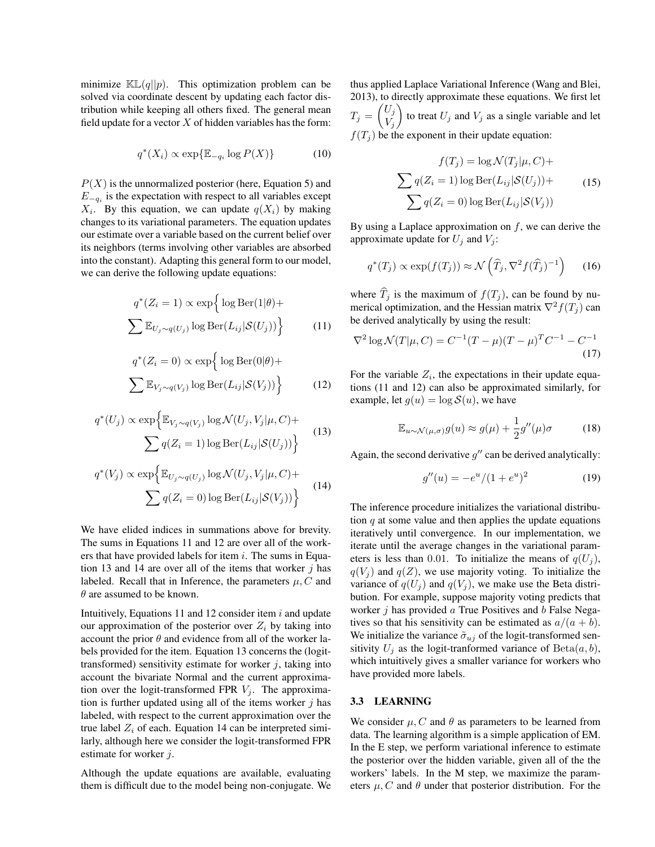minimize  $\mathbb{KL}(q||p)$ . This optimization problem can be solved via coordinate descent by updating each factor distribution while keeping all others fixed. The general mean field update for a vector  $X$  of hidden variables has the form:

$$
q^*(X_i) \propto \exp\{\mathbb{E}_{-q_i} \log P(X)\}\tag{10}
$$

 $P(X)$  is the unnormalized posterior (here, Equation 5) and  $E_{-q_i}$  is the expectation with respect to all variables except  $X_i$ . By this equation, we can update  $q(X_i)$  by making changes to its variational parameters. The equation updates our estimate over a variable based on the current belief over its neighbors (terms involving other variables are absorbed into the constant). Adapting this general form to our model, we can derive the following update equations:

$$
q^*(Z_i = 1) \propto \exp\left\{\log \text{Ber}(1|\theta) + \sum \mathbb{E}_{U_j \sim q(U_j)} \log \text{Ber}(L_{ij}|\mathcal{S}(U_j))\right\}
$$
(11)

$$
q^*(Z_i = 0) \propto \exp\left\{\log \text{Ber}(0|\theta) + \sum \mathbb{E}_{V_j \sim q(V_j)} \log \text{Ber}(L_{ij}|\mathcal{S}(V_j))\right\}
$$
(12)

$$
q^*(U_j) \propto \exp\left\{\mathbb{E}_{V_j \sim q(V_j)} \log \mathcal{N}(U_j, V_j | \mu, C) + \sum q(Z_i = 1) \log \text{Ber}(L_{ij} | \mathcal{S}(U_j))\right\}
$$
(13)

$$
q^*(V_j) \propto \exp\left\{\mathbb{E}_{U_j \sim q(U_j)} \log \mathcal{N}(U_j, V_j | \mu, C) + \sum q(Z_i = 0) \log \text{Ber}(L_{ij} | \mathcal{S}(V_j))\right\}
$$
(14)

We have elided indices in summations above for brevity. The sums in Equations 11 and 12 are over all of the workers that have provided labels for item  $i$ . The sums in Equation 13 and 14 are over all of the items that worker  $j$  has labeled. Recall that in Inference, the parameters  $\mu$ ,  $C$  and  $\theta$  are assumed to be known.

Intuitively, Equations 11 and 12 consider item  $i$  and update our approximation of the posterior over  $Z_i$  by taking into account the prior  $\theta$  and evidence from all of the worker labels provided for the item. Equation 13 concerns the (logittransformed) sensitivity estimate for worker  $j$ , taking into account the bivariate Normal and the current approximation over the logit-transformed FPR  $V_j$ . The approximation is further updated using all of the items worker  $j$  has labeled, with respect to the current approximation over the true label  $Z_i$  of each. Equation 14 can be interpreted similarly, although here we consider the logit-transformed FPR estimate for worker j.

Although the update equations are available, evaluating them is difficult due to the model being non-conjugate. We thus applied Laplace Variational Inference (Wang and Blei, 2013), to directly approximate these equations. We first let  $T_j = \begin{pmatrix} U_j \\ V_j \end{pmatrix}$  $V_j$ ) to treat  $U_j$  and  $V_j$  as a single variable and let  $f(T_j)$  be the exponent in their update equation:

$$
f(T_j) = \log \mathcal{N}(T_j | \mu, C) +
$$

$$
\sum q(Z_i = 1) \log \text{Ber}(L_{ij} | \mathcal{S}(U_j)) +
$$

$$
\sum q(Z_i = 0) \log \text{Ber}(L_{ij} | \mathcal{S}(V_j))
$$
(15)

By using a Laplace approximation on  $f$ , we can derive the approximate update for  $U_j$  and  $V_j$ :

$$
q^*(T_j) \propto \exp(f(T_j)) \approx \mathcal{N}\left(\widehat{T}_j, \nabla^2 f(\widehat{T}_j)^{-1}\right) \tag{16}
$$

where  $\widehat{T}_j$  is the maximum of  $f(T_j)$ , can be found by numerical optimization, and the Hessian matrix  $\nabla^2 f(T_i)$  can be derived analytically by using the result:

$$
\nabla^2 \log \mathcal{N}(T|\mu, C) = C^{-1}(T - \mu)(T - \mu)^T C^{-1} - C^{-1}
$$
\n(17)

For the variable  $Z_i$ , the expectations in their update equations (11 and 12) can also be approximated similarly, for example, let  $g(u) = \log S(u)$ , we have

$$
\mathbb{E}_{u \sim \mathcal{N}(\mu,\sigma)} g(u) \approx g(\mu) + \frac{1}{2}g''(\mu)\sigma \tag{18}
$$

Again, the second derivative  $g''$  can be derived analytically:

$$
g''(u) = -e^u/(1+e^u)^2 \tag{19}
$$

The inference procedure initializes the variational distribution  $q$  at some value and then applies the update equations iteratively until convergence. In our implementation, we iterate until the average changes in the variational parameters is less than 0.01. To initialize the means of  $q(U_i)$ ,  $q(V_i)$  and  $q(Z)$ , we use majority voting. To initialize the variance of  $q(U_i)$  and  $q(V_j)$ , we make use the Beta distribution. For example, suppose majority voting predicts that worker  $j$  has provided  $a$  True Positives and  $b$  False Negatives so that his sensitivity can be estimated as  $a/(a + b)$ . We initialize the variance  $\tilde{\sigma}_{uj}$  of the logit-transformed sensitivity  $U_i$  as the logit-tranformed variance of  $Beta(a, b)$ , which intuitively gives a smaller variance for workers who have provided more labels.

#### 3.3 LEARNING

We consider  $\mu$ , C and  $\theta$  as parameters to be learned from data. The learning algorithm is a simple application of EM. In the E step, we perform variational inference to estimate the posterior over the hidden variable, given all of the the workers' labels. In the M step, we maximize the parameters  $\mu$ , C and  $\theta$  under that posterior distribution. For the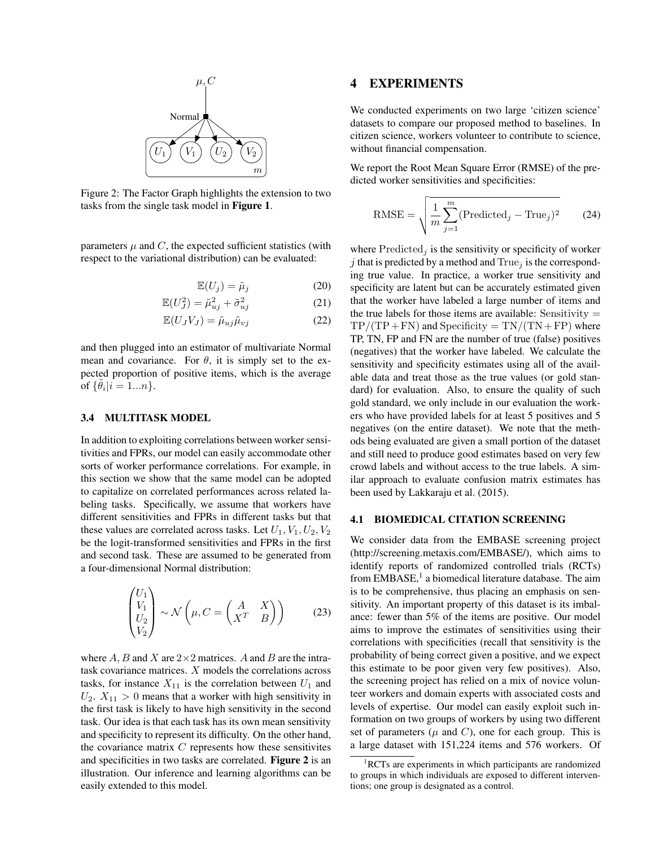

Figure 2: The Factor Graph highlights the extension to two tasks from the single task model in Figure 1.

parameters  $\mu$  and  $C$ , the expected sufficient statistics (with respect to the variational distribution) can be evaluated:

$$
\mathbb{E}(U_j) = \tilde{\mu}_j \tag{20}
$$

$$
\mathbb{E}(U_J^2) = \tilde{\mu}_{uj}^2 + \tilde{\sigma}_{uj}^2 \tag{21}
$$

$$
\mathbb{E}(U_J V_J) = \tilde{\mu}_{uj} \tilde{\mu}_{vj} \tag{22}
$$

and then plugged into an estimator of multivariate Normal mean and covariance. For  $\theta$ , it is simply set to the expected proportion of positive items, which is the average of  $\{\tilde{\theta}_i | i = 1...n\}.$ 

#### 3.4 MULTITASK MODEL

In addition to exploiting correlations between worker sensitivities and FPRs, our model can easily accommodate other sorts of worker performance correlations. For example, in this section we show that the same model can be adopted to capitalize on correlated performances across related labeling tasks. Specifically, we assume that workers have different sensitivities and FPRs in different tasks but that these values are correlated across tasks. Let  $U_1, V_1, U_2, V_2$ be the logit-transformed sensitivities and FPRs in the first and second task. These are assumed to be generated from a four-dimensional Normal distribution:

$$
\begin{pmatrix} U_1 \\ V_1 \\ U_2 \\ V_2 \end{pmatrix} \sim \mathcal{N} \left( \mu, C = \begin{pmatrix} A & X \\ X^T & B \end{pmatrix} \right) \tag{23}
$$

where A, B and X are  $2\times 2$  matrices. A and B are the intratask covariance matrices. X models the correlations across tasks, for instance  $X_{11}$  is the correlation between  $U_1$  and  $U_2$ .  $X_{11} > 0$  means that a worker with high sensitivity in the first task is likely to have high sensitivity in the second task. Our idea is that each task has its own mean sensitivity and specificity to represent its difficulty. On the other hand, the covariance matrix  $C$  represents how these sensitivites and specificities in two tasks are correlated. Figure 2 is an illustration. Our inference and learning algorithms can be easily extended to this model.

## 4 EXPERIMENTS

We conducted experiments on two large 'citizen science' datasets to compare our proposed method to baselines. In citizen science, workers volunteer to contribute to science, without financial compensation.

We report the Root Mean Square Error (RMSE) of the predicted worker sensitivities and specificities:

RMSE = 
$$
\sqrt{\frac{1}{m} \sum_{j=1}^{m} (\text{Predicted}_j - \text{True}_j)^2}
$$
 (24)

where  $Predicted_i$  is the sensitivity or specificity of worker *j* that is predicted by a method and  $True<sub>j</sub>$  is the corresponding true value. In practice, a worker true sensitivity and specificity are latent but can be accurately estimated given that the worker have labeled a large number of items and the true labels for those items are available: Sensitivity  $=$  $TP/(TP+FN)$  and Specificity =  $TN/(TN+FP)$  where TP, TN, FP and FN are the number of true (false) positives (negatives) that the worker have labeled. We calculate the sensitivity and specificity estimates using all of the available data and treat those as the true values (or gold standard) for evaluation. Also, to ensure the quality of such gold standard, we only include in our evaluation the workers who have provided labels for at least 5 positives and 5 negatives (on the entire dataset). We note that the methods being evaluated are given a small portion of the dataset and still need to produce good estimates based on very few crowd labels and without access to the true labels. A similar approach to evaluate confusion matrix estimates has been used by Lakkaraju et al. (2015).

#### 4.1 BIOMEDICAL CITATION SCREENING

We consider data from the EMBASE screening project (http://screening.metaxis.com/EMBASE/), which aims to identify reports of randomized controlled trials (RCTs) from EMBASE,<sup>1</sup> a biomedical literature database. The aim is to be comprehensive, thus placing an emphasis on sensitivity. An important property of this dataset is its imbalance: fewer than 5% of the items are positive. Our model aims to improve the estimates of sensitivities using their correlations with specificities (recall that sensitivity is the probability of being correct given a positive, and we expect this estimate to be poor given very few positives). Also, the screening project has relied on a mix of novice volunteer workers and domain experts with associated costs and levels of expertise. Our model can easily exploit such information on two groups of workers by using two different set of parameters ( $\mu$  and C), one for each group. This is a large dataset with 151,224 items and 576 workers. Of

<sup>&</sup>lt;sup>1</sup>RCTs are experiments in which participants are randomized to groups in which individuals are exposed to different interventions; one group is designated as a control.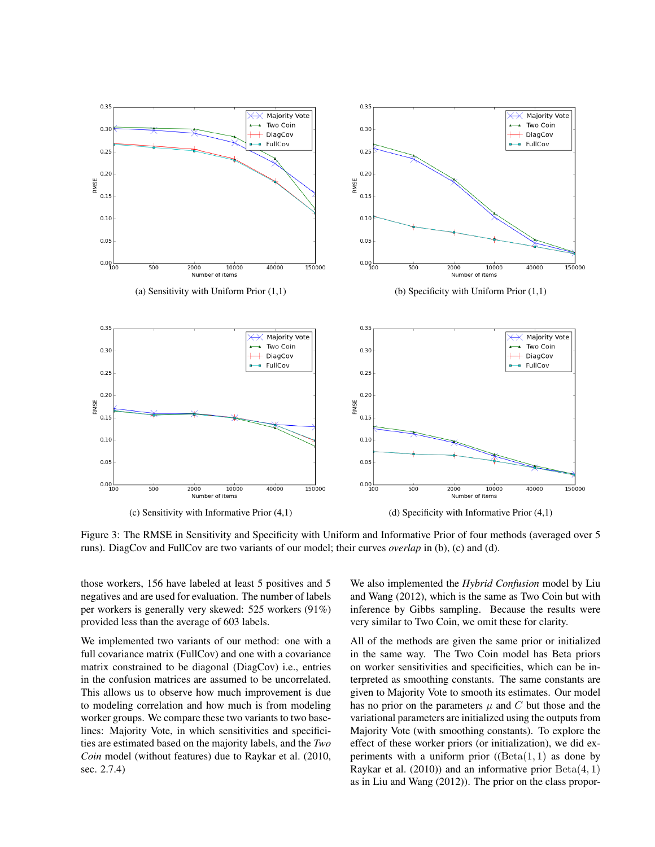

Figure 3: The RMSE in Sensitivity and Specificity with Uniform and Informative Prior of four methods (averaged over 5 runs). DiagCov and FullCov are two variants of our model; their curves *overlap* in (b), (c) and (d).

those workers, 156 have labeled at least 5 positives and 5 negatives and are used for evaluation. The number of labels per workers is generally very skewed: 525 workers (91%) provided less than the average of 603 labels.

We implemented two variants of our method: one with a full covariance matrix (FullCov) and one with a covariance matrix constrained to be diagonal (DiagCov) i.e., entries in the confusion matrices are assumed to be uncorrelated. This allows us to observe how much improvement is due to modeling correlation and how much is from modeling worker groups. We compare these two variants to two baselines: Majority Vote, in which sensitivities and specificities are estimated based on the majority labels, and the *Two Coin* model (without features) due to Raykar et al. (2010, sec. 2.7.4)

We also implemented the *Hybrid Confusion* model by Liu and Wang (2012), which is the same as Two Coin but with inference by Gibbs sampling. Because the results were very similar to Two Coin, we omit these for clarity.

All of the methods are given the same prior or initialized in the same way. The Two Coin model has Beta priors on worker sensitivities and specificities, which can be interpreted as smoothing constants. The same constants are given to Majority Vote to smooth its estimates. Our model has no prior on the parameters  $\mu$  and C but those and the variational parameters are initialized using the outputs from Majority Vote (with smoothing constants). To explore the effect of these worker priors (or initialization), we did experiments with a uniform prior  $(Beta(1, 1)$  as done by Raykar et al. (2010)) and an informative prior  $Beta(4, 1)$ as in Liu and Wang (2012)). The prior on the class propor-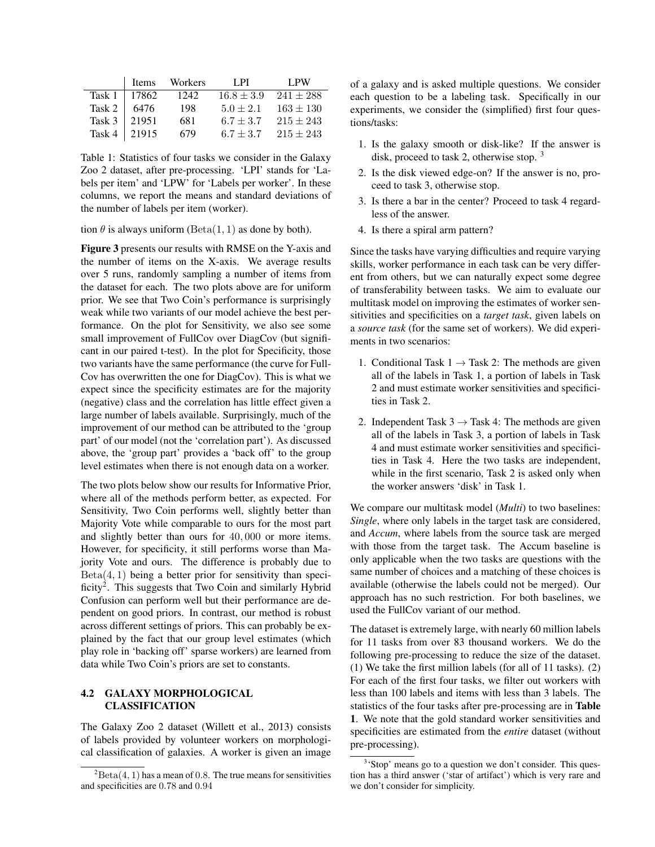|                     | l Items Workers | - LPI          | LPW           |
|---------------------|-----------------|----------------|---------------|
| Task $1 \mid 17862$ | 1242            | $16.8 \pm 3.9$ | $241 \pm 288$ |
| Task 2   $6476$     | 198             | $5.0 \pm 2.1$  | $163 \pm 130$ |
| Task 3   21951      | 681             | $6.7 \pm 3.7$  | $215 \pm 243$ |
| Task 4   21915      | 679             | $6.7 \pm 3.7$  | $215 \pm 243$ |

Table 1: Statistics of four tasks we consider in the Galaxy Zoo 2 dataset, after pre-processing. 'LPI' stands for 'Labels per item' and 'LPW' for 'Labels per worker'. In these columns, we report the means and standard deviations of the number of labels per item (worker).

tion  $\theta$  is always uniform (Beta(1, 1) as done by both).

Figure 3 presents our results with RMSE on the Y-axis and the number of items on the X-axis. We average results over 5 runs, randomly sampling a number of items from the dataset for each. The two plots above are for uniform prior. We see that Two Coin's performance is surprisingly weak while two variants of our model achieve the best performance. On the plot for Sensitivity, we also see some small improvement of FullCov over DiagCov (but significant in our paired t-test). In the plot for Specificity, those two variants have the same performance (the curve for Full-Cov has overwritten the one for DiagCov). This is what we expect since the specificity estimates are for the majority (negative) class and the correlation has little effect given a large number of labels available. Surprisingly, much of the improvement of our method can be attributed to the 'group part' of our model (not the 'correlation part'). As discussed above, the 'group part' provides a 'back off' to the group level estimates when there is not enough data on a worker.

The two plots below show our results for Informative Prior, where all of the methods perform better, as expected. For Sensitivity, Two Coin performs well, slightly better than Majority Vote while comparable to ours for the most part and slightly better than ours for 40, 000 or more items. However, for specificity, it still performs worse than Majority Vote and ours. The difference is probably due to  $Beta(4, 1)$  being a better prior for sensitivity than specificity<sup>2</sup>. This suggests that Two Coin and similarly Hybrid Confusion can perform well but their performance are dependent on good priors. In contrast, our method is robust across different settings of priors. This can probably be explained by the fact that our group level estimates (which play role in 'backing off' sparse workers) are learned from data while Two Coin's priors are set to constants.

### 4.2 GALAXY MORPHOLOGICAL CLASSIFICATION

The Galaxy Zoo 2 dataset (Willett et al., 2013) consists of labels provided by volunteer workers on morphological classification of galaxies. A worker is given an image

of a galaxy and is asked multiple questions. We consider each question to be a labeling task. Specifically in our experiments, we consider the (simplified) first four questions/tasks:

- 1. Is the galaxy smooth or disk-like? If the answer is disk, proceed to task 2, otherwise stop. <sup>3</sup>
- 2. Is the disk viewed edge-on? If the answer is no, proceed to task 3, otherwise stop.
- 3. Is there a bar in the center? Proceed to task 4 regardless of the answer.
- 4. Is there a spiral arm pattern?

Since the tasks have varying difficulties and require varying skills, worker performance in each task can be very different from others, but we can naturally expect some degree of transferability between tasks. We aim to evaluate our multitask model on improving the estimates of worker sensitivities and specificities on a *target task*, given labels on a *source task* (for the same set of workers). We did experiments in two scenarios:

- 1. Conditional Task  $1 \rightarrow$  Task 2: The methods are given all of the labels in Task 1, a portion of labels in Task 2 and must estimate worker sensitivities and specificities in Task 2.
- 2. Independent Task  $3 \rightarrow$  Task 4: The methods are given all of the labels in Task 3, a portion of labels in Task 4 and must estimate worker sensitivities and specificities in Task 4. Here the two tasks are independent, while in the first scenario, Task 2 is asked only when the worker answers 'disk' in Task 1.

We compare our multitask model (*Multi*) to two baselines: *Single*, where only labels in the target task are considered, and *Accum*, where labels from the source task are merged with those from the target task. The Accum baseline is only applicable when the two tasks are questions with the same number of choices and a matching of these choices is available (otherwise the labels could not be merged). Our approach has no such restriction. For both baselines, we used the FullCov variant of our method.

The dataset is extremely large, with nearly 60 million labels for 11 tasks from over 83 thousand workers. We do the following pre-processing to reduce the size of the dataset. (1) We take the first million labels (for all of 11 tasks). (2) For each of the first four tasks, we filter out workers with less than 100 labels and items with less than 3 labels. The statistics of the four tasks after pre-processing are in Table 1. We note that the gold standard worker sensitivities and specificities are estimated from the *entire* dataset (without pre-processing).

 ${}^{2}$ Beta(4, 1) has a mean of 0.8. The true means for sensitivities and specificities are 0.78 and 0.94

<sup>&</sup>lt;sup>3</sup>'Stop' means go to a question we don't consider. This question has a third answer ('star of artifact') which is very rare and we don't consider for simplicity.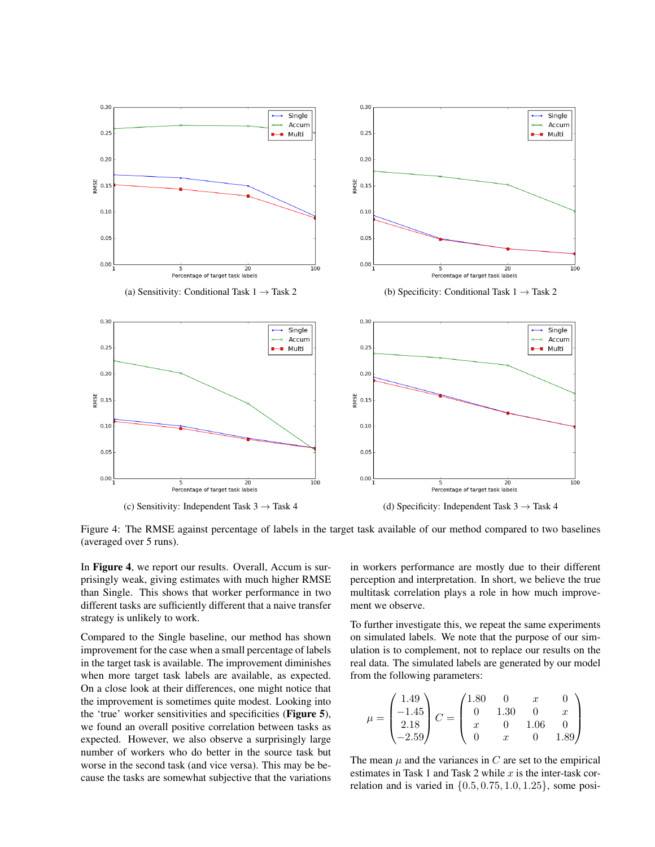

Figure 4: The RMSE against percentage of labels in the target task available of our method compared to two baselines (averaged over 5 runs).

In Figure 4, we report our results. Overall, Accum is surprisingly weak, giving estimates with much higher RMSE than Single. This shows that worker performance in two different tasks are sufficiently different that a naive transfer strategy is unlikely to work.

Compared to the Single baseline, our method has shown improvement for the case when a small percentage of labels in the target task is available. The improvement diminishes when more target task labels are available, as expected. On a close look at their differences, one might notice that the improvement is sometimes quite modest. Looking into the 'true' worker sensitivities and specificities (Figure 5), we found an overall positive correlation between tasks as expected. However, we also observe a surprisingly large number of workers who do better in the source task but worse in the second task (and vice versa). This may be because the tasks are somewhat subjective that the variations

in workers performance are mostly due to their different perception and interpretation. In short, we believe the true multitask correlation plays a role in how much improvement we observe.

To further investigate this, we repeat the same experiments on simulated labels. We note that the purpose of our simulation is to complement, not to replace our results on the real data. The simulated labels are generated by our model from the following parameters:

$$
\mu = \begin{pmatrix} 1.49 \\ -1.45 \\ 2.18 \\ -2.59 \end{pmatrix} C = \begin{pmatrix} 1.80 & 0 & x & 0 \\ 0 & 1.30 & 0 & x \\ x & 0 & 1.06 & 0 \\ 0 & x & 0 & 1.89 \end{pmatrix}
$$

The mean  $\mu$  and the variances in C are set to the empirical estimates in Task 1 and Task 2 while  $x$  is the inter-task correlation and is varied in  $\{0.5, 0.75, 1.0, 1.25\}$ , some posi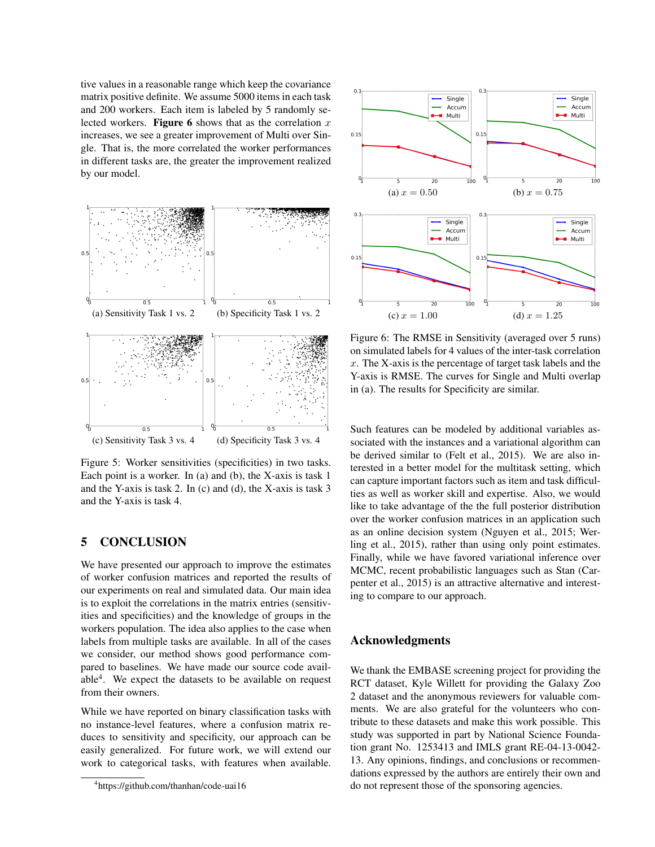tive values in a reasonable range which keep the covariance matrix positive definite. We assume 5000 items in each task and 200 workers. Each item is labeled by 5 randomly selected workers. Figure 6 shows that as the correlation  $x$ increases, we see a greater improvement of Multi over Single. That is, the more correlated the worker performances in different tasks are, the greater the improvement realized by our model.



Figure 5: Worker sensitivities (specificities) in two tasks. Each point is a worker. In (a) and (b), the X-axis is task 1 and the Y-axis is task 2. In (c) and (d), the X-axis is task 3 and the Y-axis is task 4.

## 5 CONCLUSION

We have presented our approach to improve the estimates of worker confusion matrices and reported the results of our experiments on real and simulated data. Our main idea is to exploit the correlations in the matrix entries (sensitivities and specificities) and the knowledge of groups in the workers population. The idea also applies to the case when labels from multiple tasks are available. In all of the cases we consider, our method shows good performance compared to baselines. We have made our source code available<sup>4</sup>. We expect the datasets to be available on request from their owners.

While we have reported on binary classification tasks with no instance-level features, where a confusion matrix reduces to sensitivity and specificity, our approach can be easily generalized. For future work, we will extend our work to categorical tasks, with features when available.

4 https://github.com/thanhan/code-uai16



Figure 6: The RMSE in Sensitivity (averaged over 5 runs) on simulated labels for 4 values of the inter-task correlation  $x$ . The X-axis is the percentage of target task labels and the Y-axis is RMSE. The curves for Single and Multi overlap in (a). The results for Specificity are similar.

Such features can be modeled by additional variables associated with the instances and a variational algorithm can be derived similar to (Felt et al., 2015). We are also interested in a better model for the multitask setting, which can capture important factors such as item and task difficulties as well as worker skill and expertise. Also, we would like to take advantage of the the full posterior distribution over the worker confusion matrices in an application such as an online decision system (Nguyen et al., 2015; Werling et al., 2015), rather than using only point estimates. Finally, while we have favored variational inference over MCMC, recent probabilistic languages such as Stan (Carpenter et al., 2015) is an attractive alternative and interesting to compare to our approach.

### Acknowledgments

We thank the EMBASE screening project for providing the RCT dataset, Kyle Willett for providing the Galaxy Zoo 2 dataset and the anonymous reviewers for valuable comments. We are also grateful for the volunteers who contribute to these datasets and make this work possible. This study was supported in part by National Science Foundation grant No. 1253413 and IMLS grant RE-04-13-0042- 13. Any opinions, findings, and conclusions or recommendations expressed by the authors are entirely their own and do not represent those of the sponsoring agencies.